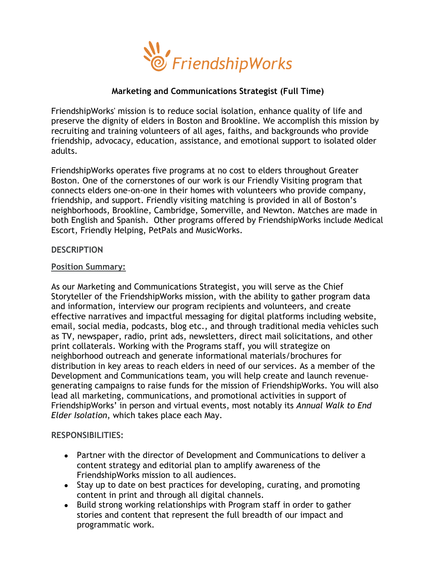

## **Marketing and Communications Strategist (Full Time)**

FriendshipWorks' mission is to reduce social isolation, enhance quality of life and preserve the dignity of elders in Boston and Brookline. We accomplish this mission by recruiting and training volunteers of all ages, faiths, and backgrounds who provide friendship, advocacy, education, assistance, and emotional support to isolated older adults.

FriendshipWorks operates five programs at no cost to elders throughout Greater Boston. One of the cornerstones of our work is our Friendly Visiting program that connects elders one-on-one in their homes with volunteers who provide company, friendship, and support. Friendly visiting matching is provided in all of Boston's neighborhoods, Brookline, Cambridge, Somerville, and Newton. Matches are made in both English and Spanish. Other programs offered by FriendshipWorks include Medical Escort, Friendly Helping, PetPals and MusicWorks.

#### **DESCRIPTION**

#### **Position Summary:**

As our Marketing and Communications Strategist, you will serve as the Chief Storyteller of the FriendshipWorks mission, with the ability to gather program data and information, interview our program recipients and volunteers, and create effective narratives and impactful messaging for digital platforms including website, email, social media, podcasts, blog etc., and through traditional media vehicles such as TV, newspaper, radio, print ads, newsletters, direct mail solicitations, and other print collaterals. Working with the Programs staff, you will strategize on neighborhood outreach and generate informational materials/brochures for distribution in key areas to reach elders in need of our services. As a member of the Development and Communications team, you will help create and launch revenuegenerating campaigns to raise funds for the mission of FriendshipWorks. You will also lead all marketing, communications, and promotional activities in support of FriendshipWorks' in person and virtual events, most notably its *Annual Walk to End Elder Isolation*, which takes place each May.

## **RESPONSIBILITIES:**

- Partner with the director of Development and Communications to deliver a content strategy and editorial plan to amplify awareness of the FriendshipWorks mission to all audiences.
- Stay up to date on best practices for developing, curating, and promoting content in print and through all digital channels.
- Build strong working relationships with Program staff in order to gather stories and content that represent the full breadth of our impact and programmatic work.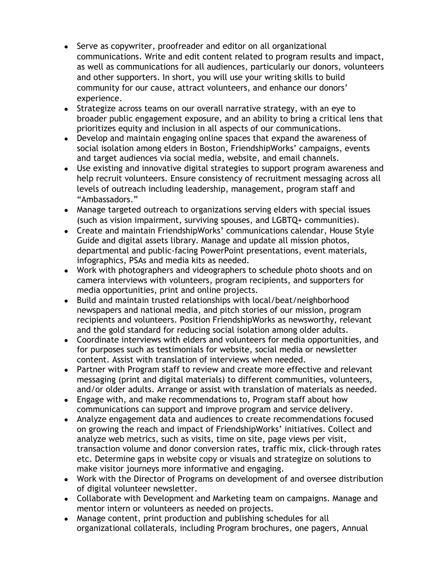- Serve as copywriter, proofreader and editor on all organizational communications. Write and edit content related to program results and impact, as well as communications for all audiences, particularly our donors, volunteers and other supporters. In short, you will use your writing skills to build community for our cause, attract volunteers, and enhance our donors' experience.
- Strategize across teams on our overall narrative strategy, with an eye to broader public engagement exposure, and an ability to bring a critical lens that prioritizes equity and inclusion in all aspects of our communications.
- Develop and maintain engaging online spaces that expand the awareness of social isolation among elders in Boston, FriendshipWorks' campaigns, events and target audiences via social media, website, and email channels.
- Use existing and innovative digital strategies to support program awareness and help recruit volunteers. Ensure consistency of recruitment messaging across all levels of outreach including leadership, management, program staff and "Ambassadors."
- Manage targeted outreach to organizations serving elders with special issues (such as vision impairment, surviving spouses, and LGBTQ+ communities).
- Create and maintain FriendshipWorks' communications calendar, House Style Guide and digital assets library. Manage and update all mission photos, departmental and public-facing PowerPoint presentations, event materials, infographics, PSAs and media kits as needed.
- Work with photographers and videographers to schedule photo shoots and on camera interviews with volunteers, program recipients, and supporters for media opportunities, print and online projects.
- Build and maintain trusted relationships with local/beat/neighborhood newspapers and national media, and pitch stories of our mission, program recipients and volunteers. Position FriendshipWorks as newsworthy, relevant and the gold standard for reducing social isolation among older adults.
- Coordinate interviews with elders and volunteers for media opportunities, and for purposes such as testimonials for website, social media or newsletter content. Assist with translation of interviews when needed.
- Partner with Program staff to review and create more effective and relevant messaging (print and digital materials) to different communities, volunteers, and/or older adults. Arrange or assist with translation of materials as needed.
- Engage with, and make recommendations to, Program staff about how communications can support and improve program and service delivery.
- Analyze engagement data and audiences to create recommendations focused on growing the reach and impact of FriendshipWorks' initiatives. Collect and analyze web metrics, such as visits, time on site, page views per visit, transaction volume and donor conversion rates, traffic mix, click-through rates etc. Determine gaps in website copy or visuals and strategize on solutions to make visitor journeys more informative and engaging.
- Work with the Director of Programs on development of and oversee distribution of digital volunteer newsletter.
- Collaborate with Development and Marketing team on campaigns. Manage and mentor intern or volunteers as needed on projects.
- Manage content, print production and publishing schedules for all organizational collaterals, including Program brochures, one pagers, Annual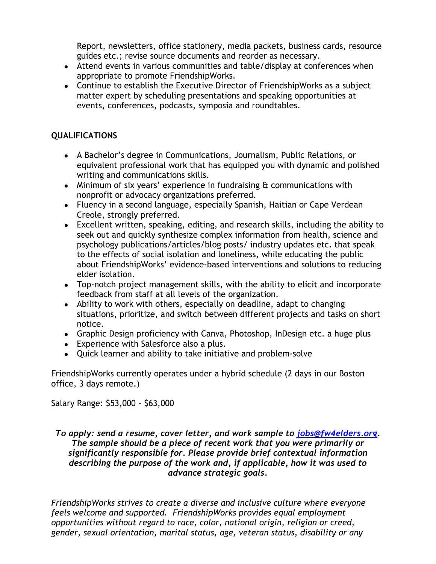Report, newsletters, office stationery, media packets, business cards, resource guides etc.; revise source documents and reorder as necessary.

- Attend events in various communities and table/display at conferences when appropriate to promote FriendshipWorks.
- Continue to establish the Executive Director of FriendshipWorks as a subject matter expert by scheduling presentations and speaking opportunities at events, conferences, podcasts, symposia and roundtables.

# **QUALIFICATIONS**

- A Bachelor's degree in Communications, Journalism, Public Relations, or equivalent professional work that has equipped you with dynamic and polished writing and communications skills.
- Minimum of six years' experience in fundraising & communications with nonprofit or advocacy organizations preferred.
- Fluency in a second language, especially Spanish, Haitian or Cape Verdean Creole, strongly preferred.
- Excellent written, speaking, editing, and research skills, including the ability to seek out and quickly synthesize complex information from health, science and psychology publications/articles/blog posts/ industry updates etc. that speak to the effects of social isolation and loneliness, while educating the public about FriendshipWorks' evidence-based interventions and solutions to reducing elder isolation.
- Top-notch project management skills, with the ability to elicit and incorporate feedback from staff at all levels of the organization.
- Ability to work with others, especially on deadline, adapt to changing situations, prioritize, and switch between different projects and tasks on short notice.
- Graphic Design proficiency with Canva, Photoshop, InDesign etc. a huge plus
- Experience with Salesforce also a plus.
- Quick learner and ability to take initiative and problem-solve

FriendshipWorks currently operates under a hybrid schedule (2 days in our Boston office, 3 days remote.)

Salary Range: \$53,000 - \$63,000

## *To apply: send a resume, cover letter, and work sample to [jobs@fw4elders.org.](mailto:jobs@fw4elders.org) The sample should be a piece of recent work that you were primarily or significantly responsible for. Please provide brief contextual information describing the purpose of the work and, if applicable, how it was used to advance strategic goals.*

*FriendshipWorks strives to create a diverse and inclusive culture where everyone feels welcome and supported. FriendshipWorks provides equal employment opportunities without regard to race, color, national origin, religion or creed, gender, sexual orientation, marital status, age, veteran status, disability or any*